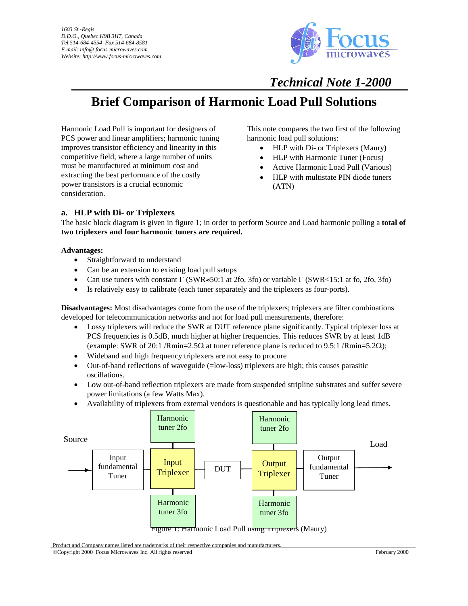

## *Technical Note 1-2000*

# **Brief Comparison of Harmonic Load Pull Solutions**

Harmonic Load Pull is important for designers of PCS power and linear amplifiers; harmonic tuning improves transistor efficiency and linearity in this competitive field, where a large number of units must be manufactured at minimum cost and extracting the best performance of the costly power transistors is a crucial economic consideration.

This note compares the two first of the following harmonic load pull solutions:

- HLP with Di- or Triplexers (Maury)
- HLP with Harmonic Tuner (Focus)
- Active Harmonic Load Pull (Various)
- HLP with multistate PIN diode tuners (ATN)

## **a. HLP with Di- or Triplexers**

The basic block diagram is given in figure 1; in order to perform Source and Load harmonic pulling a **total of two triplexers and four harmonic tuners are required.** 

#### **Advantages:**

- Straightforward to understand
- Can be an extension to existing load pull setups
- Can use tuners with constant  $\Gamma$  (SWR≈50:1 at 2fo, 3fo) or variable  $\Gamma$  (SWR<15:1 at fo, 2fo, 3fo)
- Is relatively easy to calibrate (each tuner separately and the triplexers as four-ports).

**Disadvantages:** Most disadvantages come from the use of the triplexers; triplexers are filter combinations developed for telecommunication networks and not for load pull measurements, therefore:

- Lossy triplexers will reduce the SWR at DUT reference plane significantly. Typical triplexer loss at PCS frequencies is 0.5dB, much higher at higher frequencies. This reduces SWR by at least 1dB (example: SWR of 20:1 /Rmin=2.5 $\Omega$  at tuner reference plane is reduced to 9.5:1 /Rmin=5.2 $\Omega$ );
- Wideband and high frequency triplexers are not easy to procure
- Out-of-band reflections of waveguide (=low-loss) triplexers are high; this causes parasitic oscillations.
- Low out-of-band reflection triplexers are made from suspended stripline substrates and suffer severe power limitations (a few Watts Max).
- Availability of triplexers from external vendors is questionable and has typically long lead times.



Product and Company names listed are trademarks of their respective companies and manufacturers.

©Copyright 2000 Focus Microwaves Inc. All rights reserved February 2000